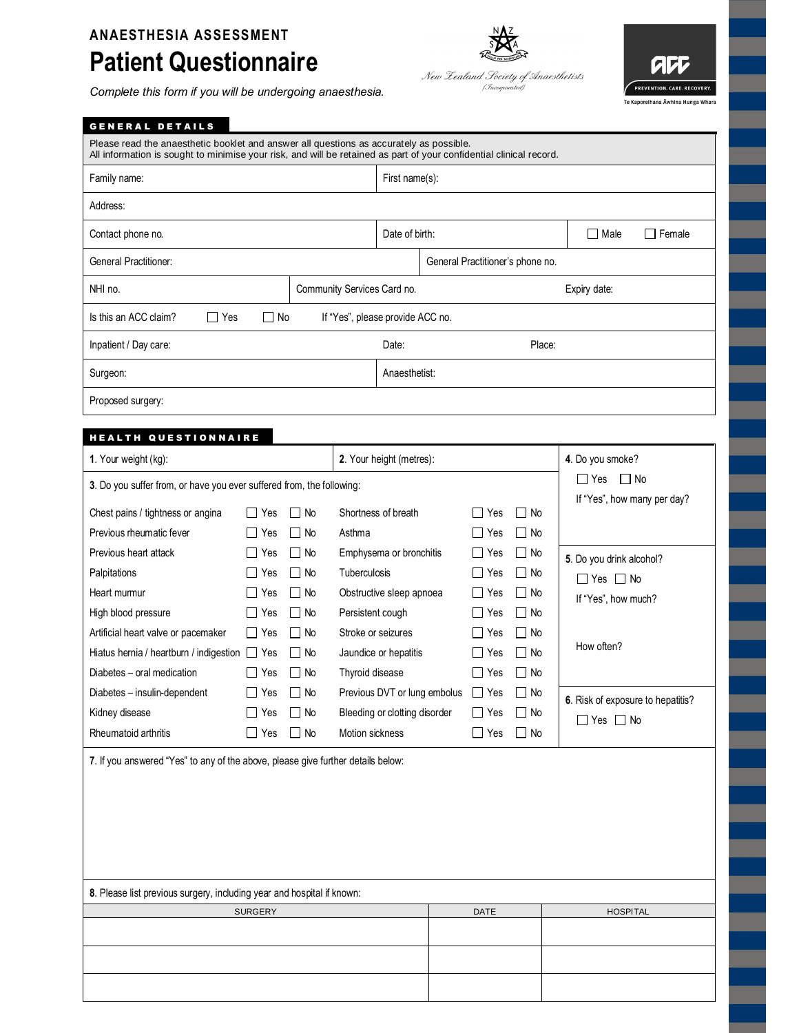## **ANAESTHESIA ASSESSMENT**

## **Patient Questionnaire**

*Complete this form if you will be undergoing anaesthesia.*



| <b>GENERAL DETAILS</b>                                                                                                                                                                                         |                                                                                                                 |                                              |                                    |                                                                                                                                        |  |                                                                      |                                                                       |                                                                                       |  |
|----------------------------------------------------------------------------------------------------------------------------------------------------------------------------------------------------------------|-----------------------------------------------------------------------------------------------------------------|----------------------------------------------|------------------------------------|----------------------------------------------------------------------------------------------------------------------------------------|--|----------------------------------------------------------------------|-----------------------------------------------------------------------|---------------------------------------------------------------------------------------|--|
| Please read the anaesthetic booklet and answer all questions as accurately as possible.<br>All information is sought to minimise your risk, and will be retained as part of your confidential clinical record. |                                                                                                                 |                                              |                                    |                                                                                                                                        |  |                                                                      |                                                                       |                                                                                       |  |
| Family name:                                                                                                                                                                                                   |                                                                                                                 |                                              |                                    | First name(s):                                                                                                                         |  |                                                                      |                                                                       |                                                                                       |  |
| Address:                                                                                                                                                                                                       |                                                                                                                 |                                              |                                    |                                                                                                                                        |  |                                                                      |                                                                       |                                                                                       |  |
| Contact phone no.                                                                                                                                                                                              |                                                                                                                 |                                              |                                    | Date of birth:                                                                                                                         |  |                                                                      |                                                                       | $\Box$ Male<br>$\Box$ Female                                                          |  |
| General Practitioner:                                                                                                                                                                                          |                                                                                                                 |                                              |                                    | General Practitioner's phone no.                                                                                                       |  |                                                                      |                                                                       |                                                                                       |  |
| NHI no.<br>Community Services Card no.                                                                                                                                                                         |                                                                                                                 |                                              |                                    |                                                                                                                                        |  |                                                                      |                                                                       | Expiry date:                                                                          |  |
| Is this an ACC claim?<br>∐ Yes                                                                                                                                                                                 | $\Box$ No                                                                                                       |                                              |                                    | If "Yes", please provide ACC no.                                                                                                       |  |                                                                      |                                                                       |                                                                                       |  |
| Inpatient / Day care:                                                                                                                                                                                          |                                                                                                                 |                                              |                                    | Date:                                                                                                                                  |  |                                                                      | Place:                                                                |                                                                                       |  |
| Surgeon:                                                                                                                                                                                                       |                                                                                                                 |                                              |                                    | Anaesthetist:                                                                                                                          |  |                                                                      |                                                                       |                                                                                       |  |
| Proposed surgery:                                                                                                                                                                                              |                                                                                                                 |                                              |                                    |                                                                                                                                        |  |                                                                      |                                                                       |                                                                                       |  |
| <b>HEALTH QUESTIONNAIRE</b>                                                                                                                                                                                    |                                                                                                                 |                                              |                                    |                                                                                                                                        |  |                                                                      |                                                                       |                                                                                       |  |
| 1. Your weight (kg):                                                                                                                                                                                           | 2. Your height (metres):                                                                                        |                                              |                                    |                                                                                                                                        |  |                                                                      |                                                                       | 4. Do you smoke?                                                                      |  |
| 3. Do you suffer from, or have you ever suffered from, the following:                                                                                                                                          | $\Box$ Yes<br>$\Box$ No                                                                                         |                                              |                                    |                                                                                                                                        |  |                                                                      |                                                                       |                                                                                       |  |
| Chest pains / tightness or angina<br>Previous rheumatic fever                                                                                                                                                  | $\Box$ Yes<br>l I Yes                                                                                           | $\Box$ No<br>l No                            | Asthma                             | Shortness of breath<br>$\perp$<br>Yes<br>l I Yes                                                                                       |  |                                                                      | l INo<br>$\Box$ No                                                    | If "Yes", how many per day?                                                           |  |
| Previous heart attack<br>Palpitations<br>Heart mumur<br>High blood pressure<br>Artificial heart valve or pacemaker<br>Hiatus hernia / heartburn / indigestion T Yes                                            | ∣ No<br>$\Box$ Yes<br>$\Box$ No<br>∣ ∣ Yes<br>コ Yes<br>∐ No<br>∐ No<br>$\Box$ Yes<br>$\Box$ Yes<br>∐ No<br>l No |                                              |                                    | Emphysema or bronchitis<br>Tuberculosis<br>Obstructive sleep apnoea<br>Persistent cough<br>Stroke or seizures<br>Jaundice or hepatitis |  | U<br>Yes<br>$\Box$ Yes<br>∐ Yes<br>$\Box$<br>Yes<br>ΙI<br>Yes<br>Yes | $\Box$ No<br>$\Box$ No<br>$\Box$ No<br>$\Box$ No<br>$\Box$ No<br>l No | 5. Do you drink alcohol?<br>$\Box$ Yes $\Box$ No<br>If "Yes", how much?<br>How often? |  |
| Diabetes - oral medication<br>Diabetes - insulin-dependent<br>Kidney disease<br>Rheumatoid arthritis                                                                                                           | $\Box$ Yes<br>$\perp$<br>Yes<br>$\Box$ Yes<br>$\Box$ Yes                                                        | $\Box$ No<br>l INo<br>$\Box$ No<br>$\Box$ No | Thyroid disease<br>Motion sickness | Previous DVT or lung embolus<br>Bleeding or clotting disorder                                                                          |  | $\mathop{\Box}$ Yes<br>$\Box$ Yes<br>$\Box$ Yes<br>$\Box$ Yes        | $\Box$ No<br>$\Box$ No<br>$\Box$ No<br>$\Box$ No                      | 6. Risk of exposure to hepatitis?<br>$\Box$ Yes $\Box$ No                             |  |
| 7. If you answered "Yes" to any of the above, please give further details below:                                                                                                                               |                                                                                                                 |                                              |                                    |                                                                                                                                        |  |                                                                      |                                                                       |                                                                                       |  |
| 8. Please list previous surgery, including year and hospital if known:                                                                                                                                         | <b>SURGERY</b>                                                                                                  |                                              |                                    |                                                                                                                                        |  | DATE                                                                 |                                                                       | <b>HOSPITAL</b>                                                                       |  |
|                                                                                                                                                                                                                |                                                                                                                 |                                              |                                    |                                                                                                                                        |  |                                                                      |                                                                       |                                                                                       |  |

NAZ